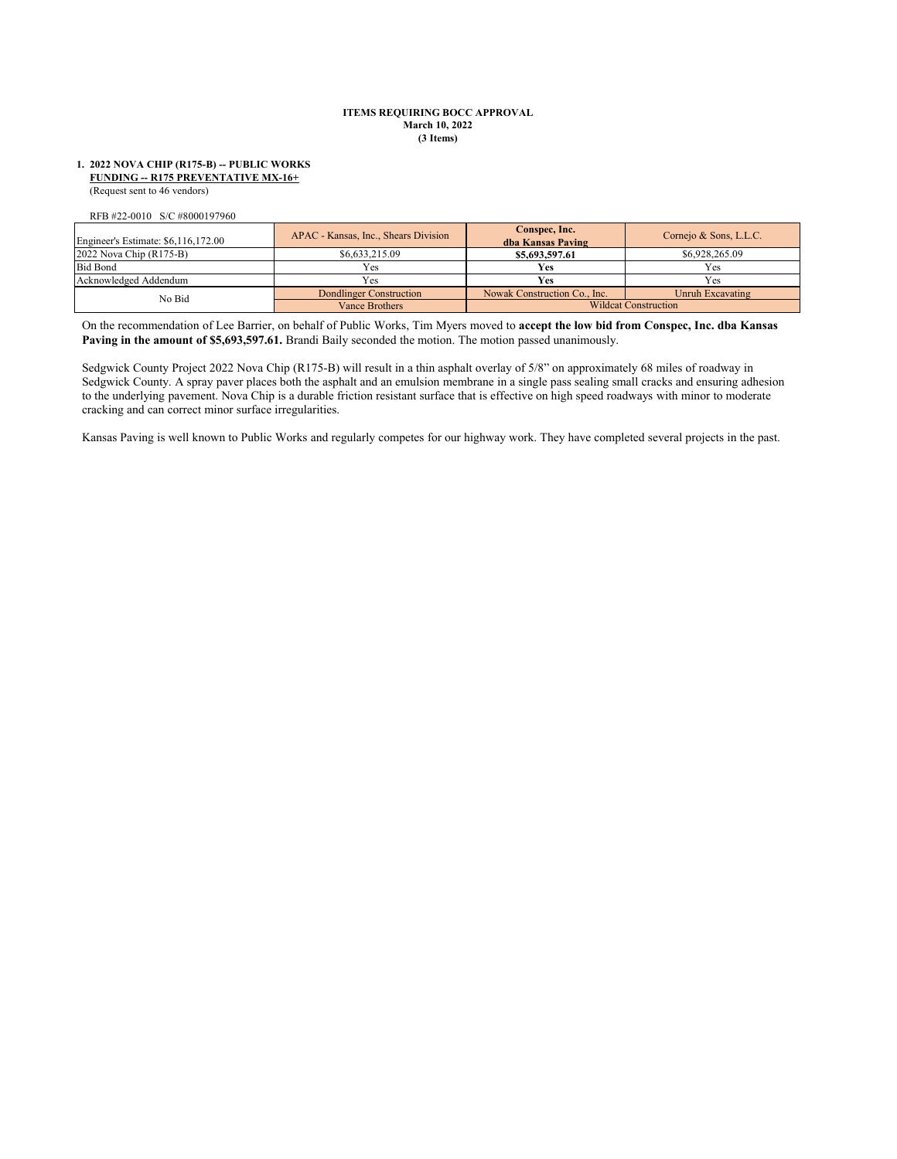#### **ITEMS REQUIRING BOCC APPROVAL March 10, 2022 (3 Items)**

#### (Request sent to 46 vendors) **1. 2022 NOVA CHIP (R175-B) -- PUBLIC WORKS FUNDING -- R175 PREVENTATIVE MX-16+**

RFB #22-0010 S/C #8000197960

| Engineer's Estimate: \$6,116,172.00 | APAC - Kansas, Inc., Shears Division | Conspec, Inc.<br>dba Kansas Paving | Cornejo & Sons, L.L.C. |
|-------------------------------------|--------------------------------------|------------------------------------|------------------------|
| 2022 Nova Chip (R175-B)             | \$6,633,215.09                       | \$5,693,597.61                     | \$6,928,265.09         |
| <b>Bid Bond</b>                     | Yes                                  | Yes                                | Yes                    |
| Acknowledged Addendum               | Yes                                  | Yes                                | Yes                    |
| No Bid                              | Dondlinger Construction              | Nowak Construction Co., Inc.       | Unruh Excavating       |
|                                     | Vance Brothers                       | <b>Wildcat Construction</b>        |                        |

On the recommendation of Lee Barrier, on behalf of Public Works, Tim Myers moved to **accept the low bid from Conspec, Inc. dba Kansas**  Paving in the amount of \$5,693,597.61. Brandi Baily seconded the motion. The motion passed unanimously.

Sedgwick County Project 2022 Nova Chip (R175-B) will result in a thin asphalt overlay of 5/8" on approximately 68 miles of roadway in Sedgwick County. A spray paver places both the asphalt and an emulsion membrane in a single pass sealing small cracks and ensuring adhesion to the underlying pavement. Nova Chip is a durable friction resistant surface that is effective on high speed roadways with minor to moderate cracking and can correct minor surface irregularities.

Kansas Paving is well known to Public Works and regularly competes for our highway work. They have completed several projects in the past.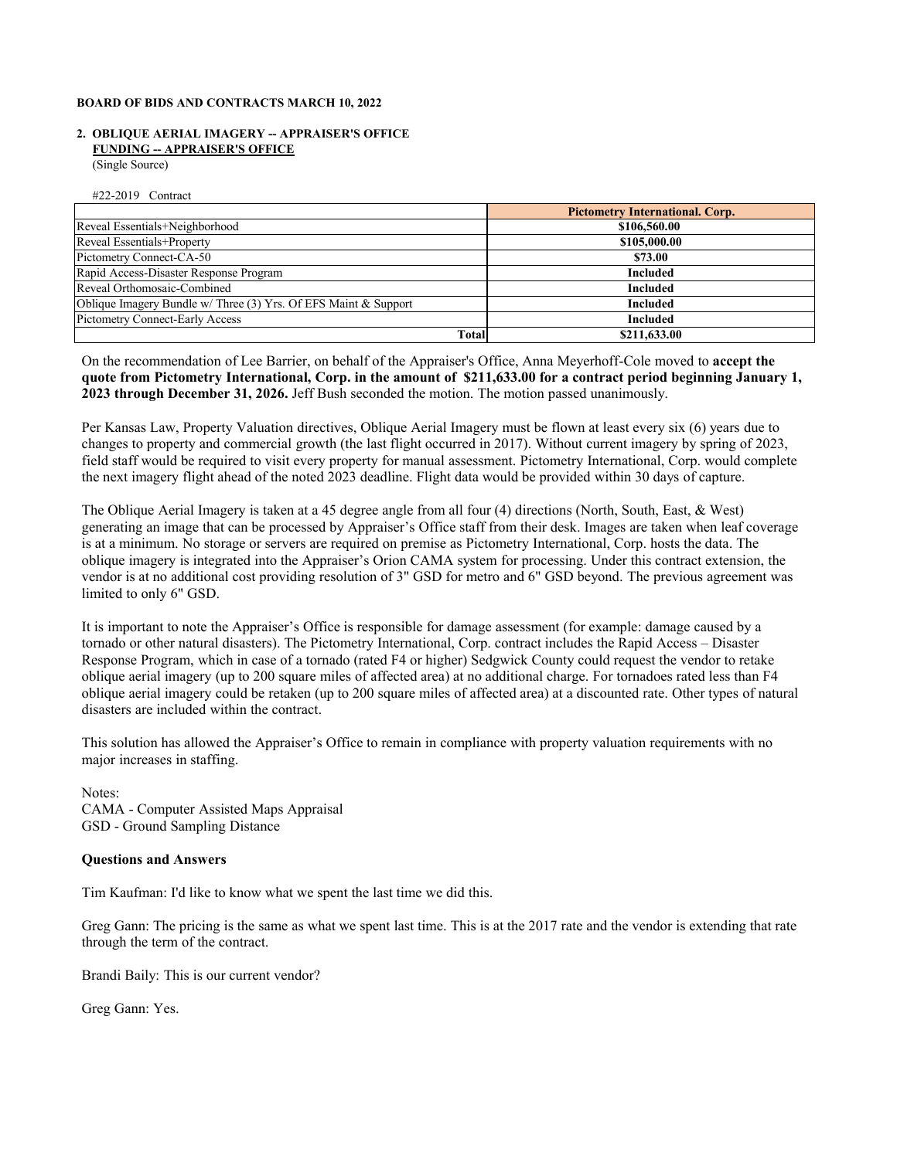### **BOARD OF BIDS AND CONTRACTS MARCH 10, 2022**

### **2. OBLIQUE AERIAL IMAGERY -- APPRAISER'S OFFICE FUNDING -- APPRAISER'S OFFICE**

(Single Source)

#22-2019 Contract

|                                                                 | <b>Pictometry International. Corp.</b> |  |
|-----------------------------------------------------------------|----------------------------------------|--|
| Reveal Essentials+Neighborhood                                  | \$106,560.00                           |  |
| Reveal Essentials+Property                                      | \$105,000.00                           |  |
| Pictometry Connect-CA-50                                        | \$73.00                                |  |
| Rapid Access-Disaster Response Program                          | Included                               |  |
| Reveal Orthomosaic-Combined                                     | Included                               |  |
| Oblique Imagery Bundle w/ Three (3) Yrs. Of EFS Maint & Support | <b>Included</b>                        |  |
| <b>Pictometry Connect-Early Access</b>                          | Included                               |  |
| <b>Total</b>                                                    | \$211,633.00                           |  |

On the recommendation of Lee Barrier, on behalf of the Appraiser's Office, Anna Meyerhoff-Cole moved to **accept the quote from Pictometry International, Corp. in the amount of \$211,633.00 for a contract period beginning January 1, 2023 through December 31, 2026.** Jeff Bush seconded the motion. The motion passed unanimously.

Per Kansas Law, Property Valuation directives, Oblique Aerial Imagery must be flown at least every six (6) years due to changes to property and commercial growth (the last flight occurred in 2017). Without current imagery by spring of 2023, field staff would be required to visit every property for manual assessment. Pictometry International, Corp. would complete the next imagery flight ahead of the noted 2023 deadline. Flight data would be provided within 30 days of capture.

The Oblique Aerial Imagery is taken at a 45 degree angle from all four (4) directions (North, South, East, & West) generating an image that can be processed by Appraiser's Office staff from their desk. Images are taken when leaf coverage is at a minimum. No storage or servers are required on premise as Pictometry International, Corp. hosts the data. The oblique imagery is integrated into the Appraiser's Orion CAMA system for processing. Under this contract extension, the vendor is at no additional cost providing resolution of 3" GSD for metro and 6" GSD beyond. The previous agreement was limited to only 6" GSD.

It is important to note the Appraiser's Office is responsible for damage assessment (for example: damage caused by a tornado or other natural disasters). The Pictometry International, Corp. contract includes the Rapid Access – Disaster Response Program, which in case of a tornado (rated F4 or higher) Sedgwick County could request the vendor to retake oblique aerial imagery (up to 200 square miles of affected area) at no additional charge. For tornadoes rated less than F4 oblique aerial imagery could be retaken (up to 200 square miles of affected area) at a discounted rate. Other types of natural disasters are included within the contract.

This solution has allowed the Appraiser's Office to remain in compliance with property valuation requirements with no major increases in staffing.

Notes: CAMA - Computer Assisted Maps Appraisal GSD - Ground Sampling Distance

## **Questions and Answers**

Tim Kaufman: I'd like to know what we spent the last time we did this.

Greg Gann: The pricing is the same as what we spent last time. This is at the 2017 rate and the vendor is extending that rate through the term of the contract.

Brandi Baily: This is our current vendor?

Greg Gann: Yes.